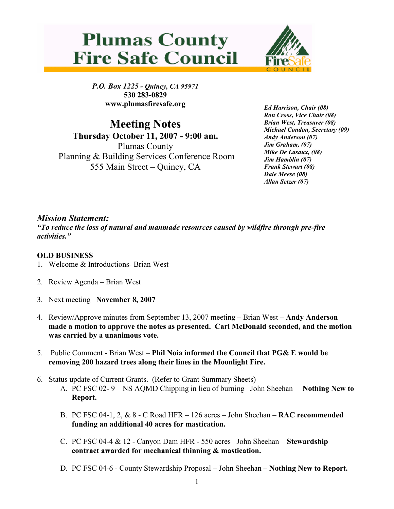



P.O. Box 1225 - Quincy, CA 95971 530 283-0829 www.plumasfiresafe.org

Meeting Notes Thursday October 11, 2007 - 9:00 am. Plumas County Planning & Building Services Conference Room 555 Main Street – Quincy, CA

Ed Harrison, Chair (08) Ron Cross, Vice Chair (08) Brian West, Treasurer (08) Michael Condon, Secretary (09) Andy Anderson (07) Jim Graham, (07) Mike De Lasaux, (08) Jim Hamblin (07) Frank Stewart (08) Dale Meese (08) Allan Setzer (07)

## Mission Statement:

"To reduce the loss of natural and manmade resources caused by wildfire through pre-fire activities."

## OLD BUSINESS

- 1. Welcome & Introductions- Brian West
- 2. Review Agenda Brian West
- 3. Next meeting –November 8, 2007
- 4. Review/Approve minutes from September 13, 2007 meeting Brian West Andy Anderson made a motion to approve the notes as presented. Carl McDonald seconded, and the motion was carried by a unanimous vote.
- 5. Public Comment Brian West Phil Noia informed the Council that PG& E would be removing 200 hazard trees along their lines in the Moonlight Fire.
- 6. Status update of Current Grants. (Refer to Grant Summary Sheets)
	- A. PC FSC 02- 9 NS AQMD Chipping in lieu of burning –John Sheehan Nothing New to Report.
	- B. PC FSC 04-1, 2,  $\&$  8 C Road HFR 126 acres John Sheehan **RAC recommended** funding an additional 40 acres for mastication.
	- C. PC FSC 04-4 & 12 Canyon Dam HFR 550 acres– John Sheehan Stewardship contract awarded for mechanical thinning & mastication.
	- D. PC FSC 04-6 County Stewardship Proposal John Sheehan Nothing New to Report.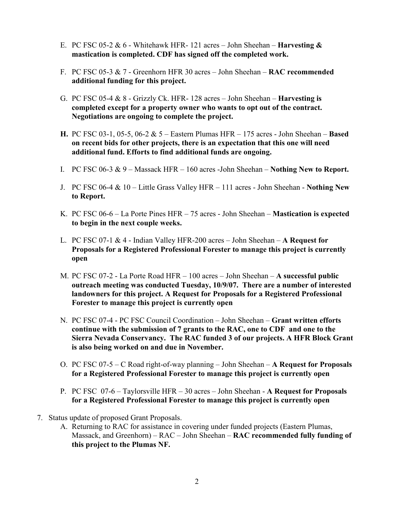- E. PC FSC 05-2  $& 6$  Whitehawk HFR- 121 acres John Sheehan **Harvesting**  $& 4$ mastication is completed. CDF has signed off the completed work.
- F. PC FSC 05-3 & 7 Greenhorn HFR 30 acres John Sheehan RAC recommended additional funding for this project.
- G. PC FSC 05-4  $\&$  8 Grizzly Ck. HFR- 128 acres John Sheehan **Harvesting is** completed except for a property owner who wants to opt out of the contract. Negotiations are ongoing to complete the project.
- H. PC FSC 03-1, 05-5, 06-2 & 5 Eastern Plumas HFR 175 acres John Sheehan Based on recent bids for other projects, there is an expectation that this one will need additional fund. Efforts to find additional funds are ongoing.
- I. PC FSC 06-3  $& 9$  Massack HFR 160 acres -John Sheehan Nothing New to Report.
- J. PC FSC 06-4 & 10 Little Grass Valley HFR 111 acres John Sheehan Nothing New to Report.
- K. PC FSC 06-6 La Porte Pines HFR 75 acres John Sheehan Mastication is expected to begin in the next couple weeks.
- L. PC FSC 07-1  $&$  4 Indian Valley HFR-200 acres John Sheehan A Request for Proposals for a Registered Professional Forester to manage this project is currently open
- M. PC FSC 07-2 La Porte Road HFR 100 acres John Sheehan A successful public outreach meeting was conducted Tuesday, 10/9/07. There are a number of interested landowners for this project. A Request for Proposals for a Registered Professional Forester to manage this project is currently open
- N. PC FSC 07-4 PC FSC Council Coordination John Sheehan Grant written efforts continue with the submission of 7 grants to the RAC, one to CDF and one to the Sierra Nevada Conservancy. The RAC funded 3 of our projects. A HFR Block Grant is also being worked on and due in November.
- O. PC FSC 07-5 C Road right-of-way planning John Sheehan A Request for Proposals for a Registered Professional Forester to manage this project is currently open
- P. PC FSC 07-6 Taylorsville HFR 30 acres John Sheehan A Request for Proposals for a Registered Professional Forester to manage this project is currently open
- 7. Status update of proposed Grant Proposals.
	- A. Returning to RAC for assistance in covering under funded projects (Eastern Plumas, Massack, and Greenhorn) – RAC – John Sheehan – RAC recommended fully funding of this project to the Plumas NF.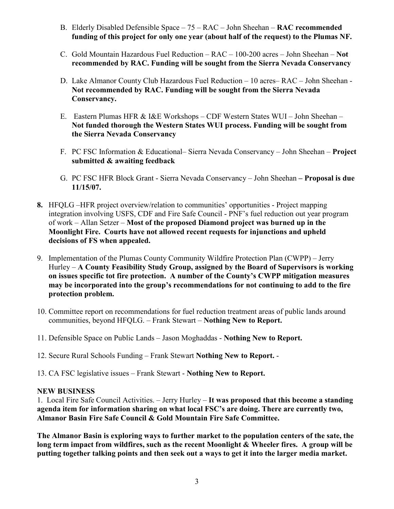- B. Elderly Disabled Defensible Space 75 RAC John Sheehan RAC recommended funding of this project for only one year (about half of the request) to the Plumas NF.
- C. Gold Mountain Hazardous Fuel Reduction RAC 100-200 acres John Sheehan Not recommended by RAC. Funding will be sought from the Sierra Nevada Conservancy
- D. Lake Almanor County Club Hazardous Fuel Reduction 10 acres– RAC John Sheehan Not recommended by RAC. Funding will be sought from the Sierra Nevada Conservancy.
- E. Eastern Plumas HFR & I&E Workshops CDF Western States WUI John Sheehan Not funded thorough the Western States WUI process. Funding will be sought from the Sierra Nevada Conservancy
- F. PC FSC Information & Educational– Sierra Nevada Conservancy John Sheehan Project submitted & awaiting feedback
- G. PC FSC HFR Block Grant Sierra Nevada Conservancy John Sheehan Proposal is due 11/15/07.
- 8. HFQLG –HFR project overview/relation to communities' opportunities Project mapping integration involving USFS, CDF and Fire Safe Council - PNF's fuel reduction out year program of work – Allan Setzer – Most of the proposed Diamond project was burned up in the Moonlight Fire. Courts have not allowed recent requests for injunctions and upheld decisions of FS when appealed.
- 9. Implementation of the Plumas County Community Wildfire Protection Plan (CWPP) Jerry Hurley – A County Feasibility Study Group, assigned by the Board of Supervisors is working on issues specific tot fire protection. A number of the County's CWPP mitigation measures may be incorporated into the group's recommendations for not continuing to add to the fire protection problem.
- 10. Committee report on recommendations for fuel reduction treatment areas of public lands around communities, beyond HFQLG. – Frank Stewart – Nothing New to Report.
- 11. Defensible Space on Public Lands Jason Moghaddas Nothing New to Report.
- 12. Secure Rural Schools Funding Frank Stewart Nothing New to Report. -
- 13. CA FSC legislative issues Frank Stewart Nothing New to Report.

## NEW BUSINESS

1. Local Fire Safe Council Activities. – Jerry Hurley – It was proposed that this become a standing agenda item for information sharing on what local FSC's are doing. There are currently two, Almanor Basin Fire Safe Council & Gold Mountain Fire Safe Committee.

The Almanor Basin is exploring ways to further market to the population centers of the sate, the long term impact from wildfires, such as the recent Moonlight  $\&$  Wheeler fires. A group will be putting together talking points and then seek out a ways to get it into the larger media market.